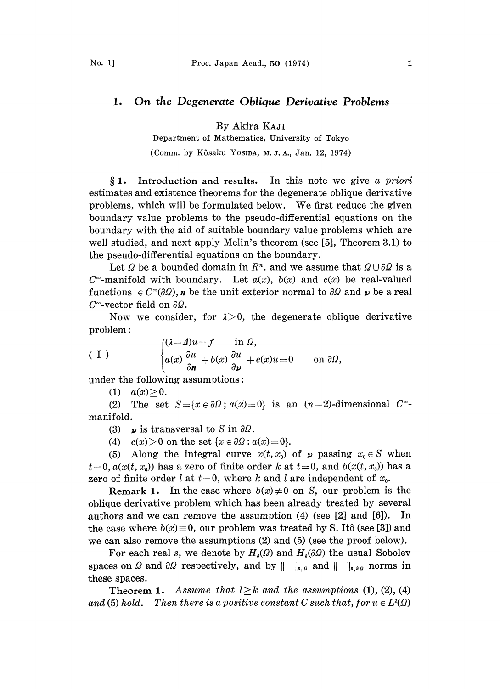## 1. On the Degenerate Oblique Derivative Problems

By Akira KAJI

Department of Mathematics, University of Tokyo

(Comm. by K6saku YOSIDA, M.J.A., Jan. 12, 1974)

 $§ 1.$  Introduction and results. In this note we give a priori estimates and existence theorems for the degenerate oblique derivative problems, which will be formulated below. We first reduce the given boundary value problems to the pseudo-differential equations on the boundary with the aid of suitable boundary value problems which are well studied, and next apply Melin's theorem (see [5], Theorem 3.1) to the pseudo-differential equations on the boundary.

Let  $\Omega$  be a bounded domain in  $\mathbb{R}^n$ , and we assume that  $\Omega \cup \partial \Omega$  is a  $C^{\infty}$ -manifold with boundary. Let  $a(x)$ ,  $b(x)$  and  $c(x)$  be real-valued functions  $\in C^{\infty}(\partial \Omega)$ , *n* be the unit exterior normal to  $\partial \Omega$  and **p** be a real  $C^{\infty}$ -vector field on  $\partial\Omega$ .

Now we consider, for  $\lambda > 0$ , the degenerate oblique derivative problem:

(1) 
$$
\begin{cases} (\lambda - \Delta)u = f & \text{in } \Omega, \\ a(x) \frac{\partial u}{\partial n} + b(x) \frac{\partial u}{\partial \nu} + c(x)u = 0 & \text{on } \partial\Omega, \end{cases}
$$

under the following assumptions:

(1)  $a(x) \ge 0$ .

(2) The set  $S = \{x \in \partial\Omega : a(x) = 0\}$  is an  $(n-2)$ -dimensional  $C^*$ manifold.

(3) is transversal to S in  $\partial\Omega$ .

(4)  $c(x) > 0$  on the set  $\{x \in \partial\Omega : a(x) = 0\}.$ 

(5) Along the integral curve  $x(t, x_0)$  of  $\mu$  passing  $x_0 \in S$  when  $t=0$ ,  $a(x(t, x_0))$  has a zero of finite order k at  $t=0$ , and  $b(x(t, x_0))$  has a zero of finite order l at  $t=0$ , where k and l are independent of  $x_0$ .

**Remark 1.** In the case where  $b(x) \neq 0$  on S, our problem is the oblique derivative problem which has been already treated by several authors and we can remove the assumption (4) (see [2] and [6]). In the case where  $b(x) \equiv 0$ , our problem was treated by S. Itô (see [3]) and we can also remove the assumptions (2) and (5) (see the proof below).

For each real s, we denote by  $H_s(\Omega)$  and  $H_s(\partial\Omega)$  the usual Sobolev spaces on  $\Omega$  and  $\partial\Omega$  respectively, and by  $\|\cdot\|_{s,\varrho}$  and  $\|\cdot\|_{s,\varrho}$  norms in these spaces.

Theorem 1. Assume that  $l \geq k$  and the assumptions (1), (2), (4) and (5) hold. Then there is a positive constant C such that, for  $u \in L^2(\Omega)$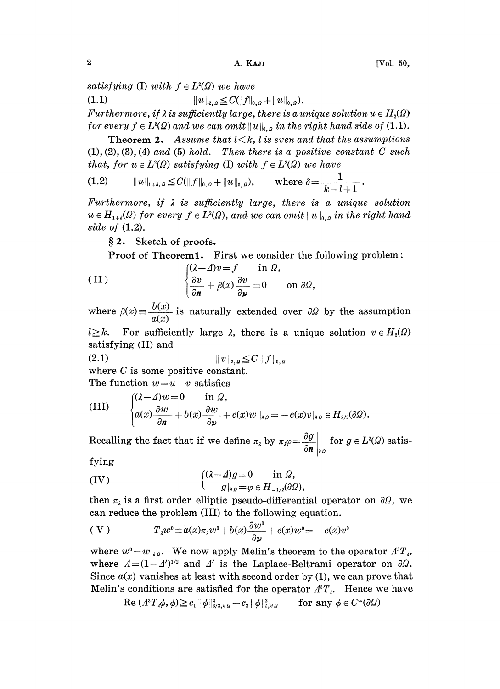satisfying (I) with  $f \in L^2(\Omega)$  we have

(1.1)  $||u||_{2,q} \leq C(||f||_{0,q} + ||u||_{0,q}).$ 

Furthermore, if  $\lambda$  is sufficiently large, there is a unique solution  $u \in H_2(\Omega)$ for every  $f \in L^2(\Omega)$  and we can omit  $||u||_{0,q}$  in the right hand side of (1.1).

**Theorem 2.** Assume that  $l \leq k$ , *l* is even and that the assumptions  $(1), (2), (3), (4)$  and  $(5)$  hold. Then there is a positive constant C such that, for  $u \in L^2(\Omega)$  satisfying (I) with  $f \in L^2(\Omega)$  we have

(1.2) 
$$
||u||_{1+\delta,\Omega} \leq C(||f||_{0,\Omega} + ||u||_{0,\Omega}), \quad \text{where } \delta = \frac{1}{k-l+1}.
$$

Furthermore, if  $\lambda$  is sufficiently large, there is a unique solution  $u \in H_{1+i}(\Omega)$  for every  $f \in L^2(\Omega)$ , and we can omit  $||u||_{0,\Omega}$  in the right hand side of (1.2).

2. Sketch of proofs.

Proof of Theorem1. First we consider the following problem:

(II) 
$$
\begin{cases} (\lambda - \Delta)v = f & \text{in } \Omega, \\ \frac{\partial v}{\partial n} + \beta(x) \frac{\partial v}{\partial \nu} = 0 & \text{on } \partial \Omega, \end{cases}
$$

where  $\beta(x) \equiv \frac{b(x)}{a(x)}$  is naturally extended over  $\partial \Omega$  by the assumption

 $l \geq k$ . For sufficiently large  $\lambda$ , there is a unique solution  $v \in H_2(\Omega)$ satisfying (II) and

$$
(2.1) \t\t ||v||_{2, \theta} \leq C ||f||_{0, \theta}
$$

where C is some positive constant. The function  $w=u-v$  satisfies

(III) 
$$
\begin{cases} (\lambda - \Delta)w = 0 & \text{in } \Omega, \\ a(x) \frac{\partial w}{\partial n} + b(x) \frac{\partial w}{\partial \nu} + c(x)w \mid_{\partial \Omega} = -c(x)v \mid_{\partial \Omega} \in H_{3/2}(\partial \Omega). \end{cases}
$$

Recalling the fact that if we define  $\pi_{\lambda}$  by  $\pi_{\lambda}\varphi=\frac{\partial g}{\partial n}\Big|_{\theta,\Omega}$  for  $g\in L^{2}(\Omega)$  satis-

fying

(IV) 
$$
\begin{cases} (\lambda - \Delta)g = 0 & \text{in } \Omega, \\ g|_{\partial g} = \varphi \in H_{-1/2}(\partial \Omega), \end{cases}
$$

(IV)<br>then  $\pi_{\lambda}$  is a first order elliptic pseudo-differential operator on  $\partial\Omega$ , we can reduce the problem (III) to the following equation.

$$
(V) \t T_{\lambda}w^{0} \equiv a(x)\pi_{\lambda}w^{0} + b(x)\frac{\partial w^{0}}{\partial \nu} + c(x)w^{0} = -c(x)v^{0}
$$
  
where  $w^{0} = w|_{\partial \Omega}$ . We now apply Melin's theorem to the operator  $A^{3}T_{\lambda}$ ,

where  $A=(1-4')^{1/2}$  and  $A'$  is the Laplace-Beltrami operator on  $\partial\Omega$ . Since  $a(x)$  vanishes at least with second order by (1), we can prove that Melin's conditions are satisfied for the operator  $A^3T$ . Hence we have

$$
\operatorname{Re}(A^3T_x\phi,\phi)\geqq c_1\|\phi\|_{3/2,\partial D}^2-c_2\|\phi\|_{t,\partial D}^2\qquad\text{for any }\phi\in C^\infty(\partial\Omega)
$$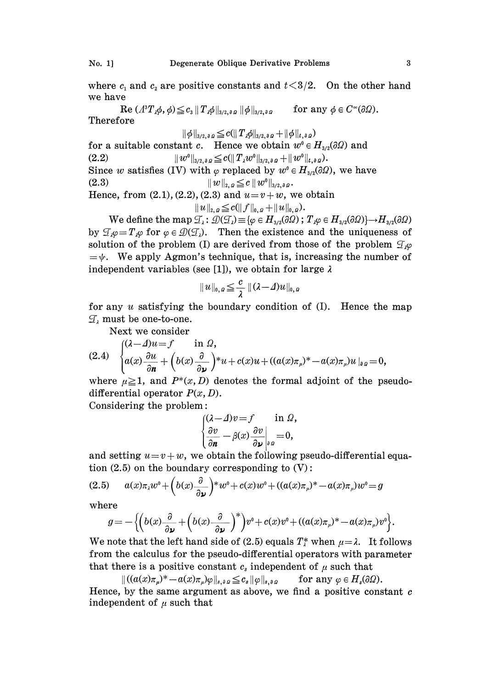where  $c_1$  and  $c_2$  are positive constants and  $t<3/2$ . On the other hand we have

 $\text{Re} (A^3T_x\phi, \phi) \leq c_3 \|T_x\phi\|_{3/2, \partial \Omega} \|\phi\|_{3/2, \partial \Omega}$  for any  $\phi \in C^{\infty}(\partial \Omega)$ . Therefore

 $\|\phi\|_{3/2,\,\partial\Omega}\leqq c(\|T_{\lambda}\phi\|_{3/2,\,\partial\Omega}+\|\phi\|_{t,\,\partial\Omega})$ for a suitable constant c. Hence we obtain  $w^0 \in H_{\frac{3}{2}}(\partial \Omega)$  and (2.2)  $\|w^0\|_{3/2,\partial\Omega} \leq c (\|T_\lambda w^0\|_{3/2,\partial\Omega} + \|w^0\|_{t,\partial\Omega}).$ Since w satisfies (IV) with  $\varphi$  replaced by  $w^0 \in H_{3/2}(\partial \Omega)$ , we have (2.3)  $||w||_{2,q} \leq c ||w^0||_{3/2,q,p}.$ Hence, from  $(2.1), (2.2), (2.3)$  and  $u=v+w$ , we obtain

 $||u||_{2,\rho}\leq c(||f||_{0,\rho} + ||u||_{0,\rho}).$ 

We define the map  $\mathcal{T}_\lambda$ :<br>  $\mathcal{T}_\lambda \varphi = T_\lambda \varphi$  for  $\varphi \in \mathcal{D}(\mathcal{T}_\lambda)$ .  $\begin{aligned} &\#_{2,\,2}\leq c(\|f\|_{0,\,2}+\|u\|_{0,\,2}).\ &\mathcal{D}(\mathcal{I}_{\lambda})\equiv\{\varphi\in H_{3/2}(\partial\Omega)\ ;\ T_{\lambda}\varphi\in H_{3/2}(\partial\Omega)\}{\longrightarrow}H_{3/2}(\partial\Omega)\}. \end{aligned}$ by  $\mathcal{T}_{\varphi} = T_{\varphi}$  for  $\varphi \in \mathcal{D}(\mathcal{T}_{\varphi})$ . Then the existence and the uniqueness of solution of the problem (I) are derived from those of the problem  $\mathcal{I}_{\mathcal{P}}$  $=\psi$ . We apply Agmon's technique, that is, increasing the number of independent variables (see [1]), we obtain for large  $\lambda$ 

$$
||u||_{0,\varOmega}\leq \frac{c}{\lambda} ||(\lambda-\varDelta)u||_{0,\varOmega}
$$

for any u satisfying the boundary condition of  $(I)$ . Hence the map  $\mathcal{I}$ , must be one-to-one.

Next we consider

$$
(2.4) \quad \begin{cases} (\lambda - \Delta)u = f & \text{in } \Omega, \\ a(x) \frac{\partial u}{\partial n} + \left( b(x) \frac{\partial}{\partial \nu} \right)^* u + c(x)u + ((a(x)\pi_{\mu})^* - a(x)\pi_{\mu})u \mid_{\partial \Omega} = 0, \end{cases}
$$

where  $\mu \geq 1$ , and  $P^*(x, D)$  denotes the formal adjoint of the pseudodifferential operator  $P(x, D)$ .

Considering the problem:

$$
\begin{cases}\n(\lambda - \Delta)v = f & \text{in } \Omega, \\
\frac{\partial v}{\partial n} - \beta(x) \frac{\partial v}{\partial \nu}\Big|_{\partial \Omega} = 0,\n\end{cases}
$$

and setting  $u=v+w$ , we obtain the following pseudo-differential equation  $(2.5)$  on the boundary corresponding to  $(V)$ :

$$
(2.5) \qquad a(x)\pi_1w^0 + \left(b(x)\frac{\partial}{\partial y}\right)^*w^0 + c(x)w^0 + \left((a(x)\pi_\mu)^* - a(x)\pi_\mu\right)w^0 = g
$$

where

$$
g = -\left\{ \left( b(x) \frac{\partial}{\partial \nu} + \left( b(x) \frac{\partial}{\partial \nu} \right)^* \right) v^0 + c(x) v^0 + ((a(x)\pi_\mu)^* - a(x)\pi_\mu) v^0 \right\}.
$$

We note that the left hand side of (2.5) equals  $T_i^*$  when  $\mu = \lambda$ . It follows from the calculus for the pseudo-differential operators with parameter that there is a positive constant  $c_s$  independent of  $\mu$  such that

 $||(a(x)\pi_a)^* - a(x)\pi_a)\varphi||_{s, \partial \Omega} \leq c_s ||\varphi||_{s, \partial \Omega}$  for any  $\varphi \in H_s(\partial \Omega)$ . Hence, by the same argument as above, we find a positive constant  $c$ independent of  $\mu$  such that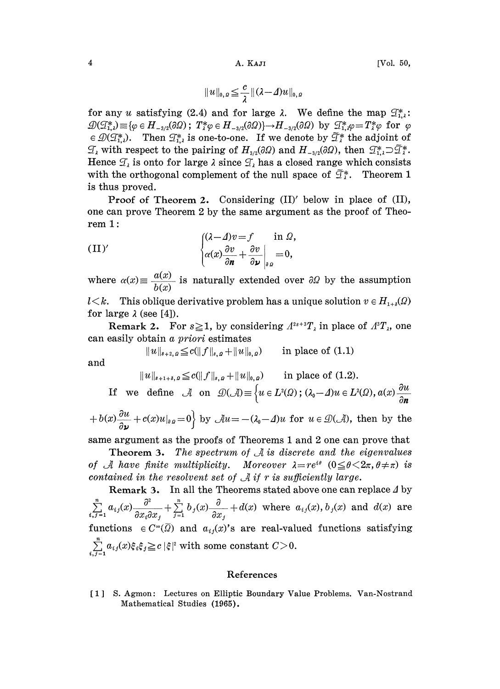$$
||u||_{0,\varrho}\leq \frac{c}{\lambda} ||(\lambda-\varDelta)u||_{0,\varrho}
$$

for any u satisfying (2.4) and for large  $\lambda$ . We define the map  $\mathcal{I}_{1,\lambda}^*$ : for any u satisfying (2.4) and for large  $\lambda$ . We define the map  $\mathcal{T}_{1,2}^*$ ,  $\mathcal{D}(\mathcal{T}_{1,2}^*) \equiv {\varphi \in H_{-3/2}(\partial \Omega)$ ;  $T_1^* \varphi \in H_{-3/2}(\partial \Omega) \rightarrow H_{-3/2}(\partial \Omega)$  by  $\mathcal{T}_{1,2}^* \varphi = T_2^* \varphi$  for  $\varphi \in \mathcal{D}(\mathcal{T}_{1,2}^*)$ . The  $\mathcal{L}(X, \mathcal{L}) = \mathcal{L}(X, \mathcal{L})$ . Then  $\mathcal{I}_{1,2}^*$  is one-to-one. If we denote by  $\widetilde{\mathcal{I}}_k^*$  the adjoint of  $\mathcal{I}_k$  with respect to the pairing of  $H_{3/2}(\partial\Omega)$  and  $H_{-3/2}(\partial\Omega)$ , then  $\mathcal{I}_{1,2}^* \supset \widetilde{\mathcal{I$ Hence  $\mathcal{T}_{\lambda}$  is onto for large  $\lambda$  since  $\mathcal{T}_{\lambda}$  has a closed range which consists with the orthogonal complement of the null space of  $\tilde{\mathcal{I}}^*_i$ . Theorem 1 is thus proved.

Proof of Theorem 2. Considering  $(II)'$  below in place of  $(II)$ , one can prove Theorem 2 by the same argument as the proof of Theorem  $1$ :

(II)' 
$$
\begin{cases} (\lambda - \Delta)v = f & \text{in } \Omega, \\ \alpha(x) \frac{\partial v}{\partial n} + \frac{\partial v}{\partial \nu} \Big|_{\theta \Omega} = 0, \end{cases}
$$

where  $\alpha(x) \equiv \frac{a(x)}{b(x)}$  is naturally extended over  $\partial \Omega$  by the assumption

 $l \leq k$ . This oblique derivative problem has a unique solution  $v \in H_{1+i}(\Omega)$ for large  $\lambda$  (see [4]).

**Remark 2.** For  $s \ge 1$ , by considering  $A^{2s+3}T_{\lambda}$  in place of  $A^{s}T_{\lambda}$ , one can easily obtain a priori estimates

 $||u||_{s+2, \rho} \leq c(||f||_{s,\rho} + ||u||_{0,\rho})$  in place of (1.1)

and

$$
||u||_{s+1+\delta, \rho} \leq c(||f||_{s,\rho} + ||u||_{0,\rho}) \quad \text{in place of (1.2).}
$$

If we define  $\mathcal A$  on  $\mathcal D(\mathcal A) \equiv \left\{u \in L^2(\Omega) ; (\lambda_0-\Lambda)u \in L^2(\Omega), a(x) \frac{\partial u}{\partial u}\right\}$ 

 $+ b(x) \frac{\partial u}{\partial y} + c(x)u|_{\partial \Omega} = 0$  by  $\mathcal{A}u = -(\lambda_0 - \Delta)u$  for  $u \in \mathcal{D}(\mathcal{A})$ , then by the

same argument as the proofs of Theorems 1 and 2 one can prove that

**Theorem 3.** The spectrum of  $\mathcal{A}$  is discrete and the eigenvalues of A have finite multiplicity. Moreover  $\lambda = re^{i\theta}$   $(0 \le \theta \le 2\pi, \theta \ne \pi)$  is contained in the resolvent set of  $\mathcal A$  if r is sufficiently large.

**Remark 3.** In all the Theorems stated above one can replace  $\Delta$  by  $\sum_{i,j=1}^n a_{ij}(x) \frac{\partial^2}{\partial x_i \partial x_j} + \sum_{j=1}^n b_j(x) \frac{\partial}{\partial x_j} + d(x)$  where  $a_{ij}(x), b_j(x)$  and  $d(x)$  are functions  $\in C^{\infty}(\overline{\Omega})$  and  $a_{ij}(x)$ 's are real-valued functions satisfying  $\sum_{i,j=1}^n a_{ij}(x)\xi_i\xi_j \geq c\,|\xi|^2 \text{ with some constant } C\!>\!0.$ 

## References

[1] S. Agmon: Lectures on Elliptic Boundary Value Problems. Van-Nostrand Mathematical Studies (1965).